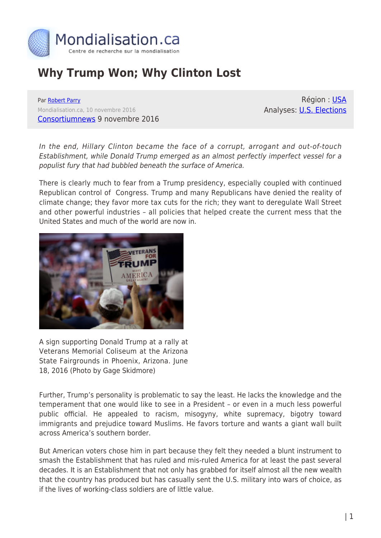

## **Why Trump Won; Why Clinton Lost**

Par [Robert Parry](https://www.mondialisation.ca/author/robert-parry) Mondialisation.ca, 10 novembre 2016 [Consortiumnews](https://consortiumnews.com/2016/11/09/why-trump-won-why-clinton-lost/) 9 novembre 2016

Région : [USA](https://www.mondialisation.ca/region/usa) Analyses: [U.S. Elections](https://www.mondialisation.ca/indepthreport/u-s-elections)

In the end, Hillary Clinton became the face of a corrupt, arrogant and out-of-touch Establishment, while Donald Trump emerged as an almost perfectly imperfect vessel for a populist fury that had bubbled beneath the surface of America.

There is clearly much to fear from a Trump presidency, especially coupled with continued Republican control of Congress. Trump and many Republicans have denied the reality of climate change; they favor more tax cuts for the rich; they want to deregulate Wall Street and other powerful industries – all policies that helped create the current mess that the United States and much of the world are now in.



A sign supporting Donald Trump at a rally at Veterans Memorial Coliseum at the Arizona State Fairgrounds in Phoenix, Arizona. June 18, 2016 (Photo by Gage Skidmore)

Further, Trump's personality is problematic to say the least. He lacks the knowledge and the temperament that one would like to see in a President – or even in a much less powerful public official. He appealed to racism, misogyny, white supremacy, bigotry toward immigrants and prejudice toward Muslims. He favors torture and wants a giant wall built across America's southern border.

But American voters chose him in part because they felt they needed a blunt instrument to smash the Establishment that has ruled and mis-ruled America for at least the past several decades. It is an Establishment that not only has grabbed for itself almost all the new wealth that the country has produced but has casually sent the U.S. military into wars of choice, as if the lives of working-class soldiers are of little value.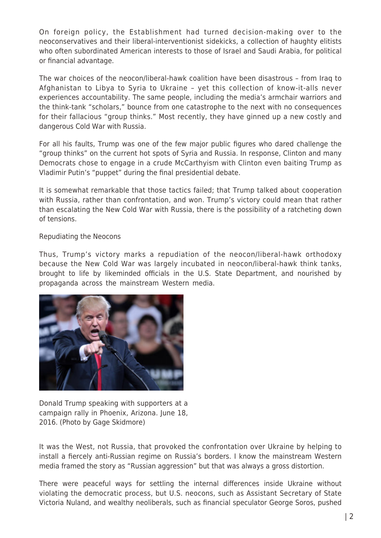On foreign policy, the Establishment had turned decision-making over to the neoconservatives and their liberal-interventionist sidekicks, a collection of haughty elitists who often subordinated American interests to those of Israel and Saudi Arabia, for political or financial advantage.

The war choices of the neocon/liberal-hawk coalition have been disastrous – from Iraq to Afghanistan to Libya to Syria to Ukraine – yet this collection of know-it-alls never experiences accountability. The same people, including the media's armchair warriors and the think-tank "scholars," bounce from one catastrophe to the next with no consequences for their fallacious "group thinks." Most recently, they have ginned up a new costly and dangerous Cold War with Russia.

For all his faults, Trump was one of the few major public figures who dared challenge the "group thinks" on the current hot spots of Syria and Russia. In response, Clinton and many Democrats chose to engage in a crude McCarthyism with Clinton even baiting Trump as Vladimir Putin's "puppet" during the final presidential debate.

It is somewhat remarkable that those tactics failed; that Trump talked about cooperation with Russia, rather than confrontation, and won. Trump's victory could mean that rather than escalating the New Cold War with Russia, there is the possibility of a ratcheting down of tensions.

## Repudiating the Neocons

Thus, Trump's victory marks a repudiation of the neocon/liberal-hawk orthodoxy because the New Cold War was largely incubated in neocon/liberal-hawk think tanks, brought to life by likeminded officials in the U.S. State Department, and nourished by propaganda across the mainstream Western media.



Donald Trump speaking with supporters at a campaign rally in Phoenix, Arizona. June 18, 2016. (Photo by Gage Skidmore)

It was the West, not Russia, that provoked the confrontation over Ukraine by helping to install a fiercely anti-Russian regime on Russia's borders. I know the mainstream Western media framed the story as "Russian aggression" but that was always a gross distortion.

There were peaceful ways for settling the internal differences inside Ukraine without violating the democratic process, but U.S. neocons, such as Assistant Secretary of State Victoria Nuland, and wealthy neoliberals, such as financial speculator George Soros, pushed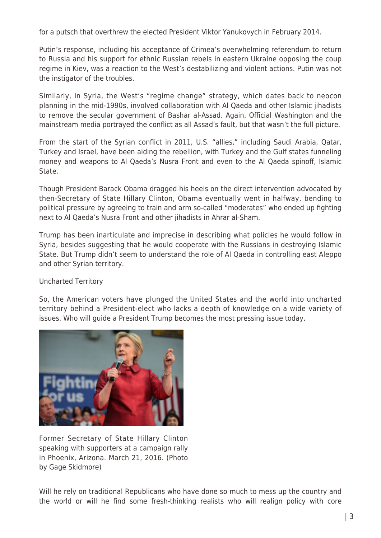for a putsch that overthrew the elected President Viktor Yanukovych in February 2014.

Putin's response, including his acceptance of Crimea's overwhelming referendum to return to Russia and his support for ethnic Russian rebels in eastern Ukraine opposing the coup regime in Kiev, was a reaction to the West's destabilizing and violent actions. Putin was not the instigator of the troubles.

Similarly, in Syria, the West's "regime change" strategy, which dates back to neocon planning in the mid-1990s, involved collaboration with Al Qaeda and other Islamic jihadists to remove the secular government of Bashar al-Assad. Again, Official Washington and the mainstream media portrayed the conflict as all Assad's fault, but that wasn't the full picture.

From the start of the Syrian conflict in 2011, U.S. "allies," including Saudi Arabia, Qatar, Turkey and Israel, have been aiding the rebellion, with Turkey and the Gulf states funneling money and weapons to Al Qaeda's Nusra Front and even to the Al Qaeda spinoff, Islamic State.

Though President Barack Obama dragged his heels on the direct intervention advocated by then-Secretary of State Hillary Clinton, Obama eventually went in halfway, bending to political pressure by agreeing to train and arm so-called "moderates" who ended up fighting next to Al Qaeda's Nusra Front and other jihadists in Ahrar al-Sham.

Trump has been inarticulate and imprecise in describing what policies he would follow in Syria, besides suggesting that he would cooperate with the Russians in destroying Islamic State. But Trump didn't seem to understand the role of Al Qaeda in controlling east Aleppo and other Syrian territory.

## Uncharted Territory

So, the American voters have plunged the United States and the world into uncharted territory behind a President-elect who lacks a depth of knowledge on a wide variety of issues. Who will guide a President Trump becomes the most pressing issue today.



Former Secretary of State Hillary Clinton speaking with supporters at a campaign rally in Phoenix, Arizona. March 21, 2016. (Photo by Gage Skidmore)

Will he rely on traditional Republicans who have done so much to mess up the country and the world or will he find some fresh-thinking realists who will realign policy with core